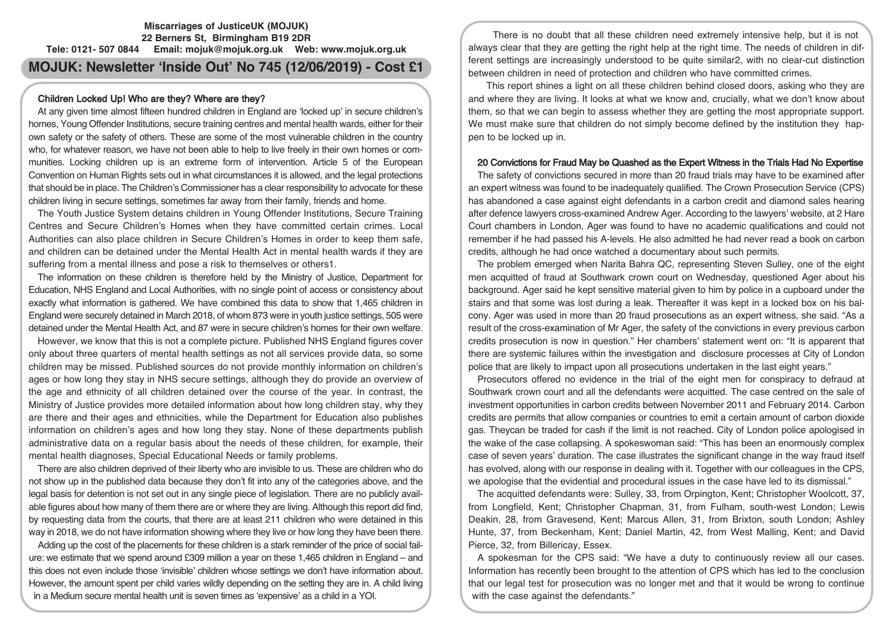# **Miscarriages of JusticeUK (MOJUK) 22 Berners St, Birmingham B19 2DR Tele: 0121- 507 0844 Email: mojuk@mojuk.org.uk Web: www.mojuk.org.uk**

# **MOJUK: Newsletter 'Inside Out' No 745 (12/06/2019) - Cost £1**

# Children Locked Up! Who are they? Where are they?

At any given time almost fifteen hundred children in England are 'locked up' in secure children's homes, Young Offender Institutions, secure training centres and mental health wards, either for their own safety or the safety of others. These are some of the most vulnerable children in the country who, for whatever reason, we have not been able to help to live freely in their own homes or communities. Locking children up is an extreme form of intervention. Article 5 of the European Convention on Human Rights sets out in what circumstances it is allowed, and the legal protections that should be in place. The Children's Commissioner has a clear responsibility to advocate for these children living in secure settings, sometimes far away from their family, friends and home.

The Youth Justice System detains children in Young Offender Institutions, Secure Training Centres and Secure Children's Homes when they have committed certain crimes. Local Authorities can also place children in Secure Children's Homes in order to keep them safe, and children can be detained under the Mental Health Act in mental health wards if they are suffering from a mental illness and pose a risk to themselves or others1.

The information on these children is therefore held by the Ministry of Justice, Department for Education, NHS England and Local Authorities, with no single point of access or consistency about exactly what information is gathered. We have combined this data to show that 1,465 children in England were securely detained in March 2018, of whom 873 were in youth justice settings, 505 were detained under the Mental Health Act, and 87 were in secure children's homes for their own welfare.

However, we know that this is not a complete picture. Published NHS England figures cover only about three quarters of mental health settings as not all services provide data, so some children may be missed. Published sources do not provide monthly information on children's ages or how long they stay in NHS secure settings, although they do provide an overview of the age and ethnicity of all children detained over the course of the year. In contrast, the Ministry of Justice provides more detailed information about how long children stay, why they are there and their ages and ethnicities, while the Department for Education also publishes information on children's ages and how long they stay. None of these departments publish administrative data on a regular basis about the needs of these children, for example, their mental health diagnoses, Special Educational Needs or family problems.

There are also children deprived of their liberty who are invisible to us. These are children who do not show up in the published data because they don't fit into any of the categories above, and the legal basis for detention is not set out in any single piece of legislation. There are no publicly available figures about how many of them there are or where they are living. Although this report did find, by requesting data from the courts, that there are at least 211 children who were detained in this way in 2018, we do not have information showing where they live or how long they have been there.

Adding up the cost of the placements for these children is a stark reminder of the price of social failure: we estimate that we spend around £309 million a year on these 1,465 children in England – and this does not even include those 'invisible' children whose settings we don't have information about. However, the amount spent per child varies wildly depending on the setting they are in. A child living in a Medium secure mental health unit is seven times as 'expensive' as a child in a YOI.

There is no doubt that all these children need extremely intensive help, but it is not always clear that they are getting the right help at the right time. The needs of children in different settings are increasingly understood to be quite similar2, with no clear-cut distinction between children in need of protection and children who have committed crimes.

This report shines a light on all these children behind closed doors, asking who they are and where they are living. It looks at what we know and, crucially, what we don't know about them, so that we can begin to assess whether they are getting the most appropriate support. We must make sure that children do not simply become defined by the institution they happen to be locked up in.

# 20 Convictions for Fraud May be Quashed as the Expert Witness in the Trials Had No Expertise

The safety of convictions secured in more than 20 fraud trials may have to be examined after an expert witness was found to be inadequately qualified. The Crown Prosecution Service (CPS) has abandoned a case against eight defendants in a carbon credit and diamond sales hearing after defence lawyers cross-examined Andrew Ager. According to the lawyers' website, at 2 Hare Court chambers in London, Ager was found to have no academic qualifications and could not remember if he had passed his A-levels. He also admitted he had never read a book on carbon credits, although he had once watched a documentary about such permits.

The problem emerged when Narita Bahra QC, representing Steven Sulley, one of the eight men acquitted of fraud at Southwark crown court on Wednesday, questioned Ager about his background. Ager said he kept sensitive material given to him by police in a cupboard under the stairs and that some was lost during a leak. Thereafter it was kept in a locked box on his balcony. Ager was used in more than 20 fraud prosecutions as an expert witness, she said. "As a result of the cross-examination of Mr Ager, the safety of the convictions in every previous carbon credits prosecution is now in question." Her chambers' statement went on: "It is apparent that there are systemic failures within the investigation and disclosure processes at City of London police that are likely to impact upon all prosecutions undertaken in the last eight years."

Prosecutors offered no evidence in the trial of the eight men for conspiracy to defraud at Southwark crown court and all the defendants were acquitted. The case centred on the sale of investment opportunities in carbon credits between November 2011 and February 2014. Carbon credits are permits that allow companies or countries to emit a certain amount of carbon dioxide gas. Theycan be traded for cash if the limit is not reached. City of London police apologised in the wake of the case collapsing. A spokeswoman said: "This has been an enormously complex case of seven years' duration. The case illustrates the significant change in the way fraud itself has evolved, along with our response in dealing with it. Together with our colleagues in the CPS, we apologise that the evidential and procedural issues in the case have led to its dismissal."

The acquitted defendants were: Sulley, 33, from Orpington, Kent; Christopher Woolcott, 37, from Longfield, Kent; Christopher Chapman, 31, from Fulham, south-west London; Lewis Deakin, 28, from Gravesend, Kent; Marcus Allen, 31, from Brixton, south London; Ashley Hunte, 37, from Beckenham, Kent; Daniel Martin, 42, from West Malling, Kent; and David Pierce, 32, from Billericay, Essex.

A spokesman for the CPS said: "We have a duty to continuously review all our cases. Information has recently been brought to the attention of CPS which has led to the conclusion that our legal test for prosecution was no longer met and that it would be wrong to continue with the case against the defendants."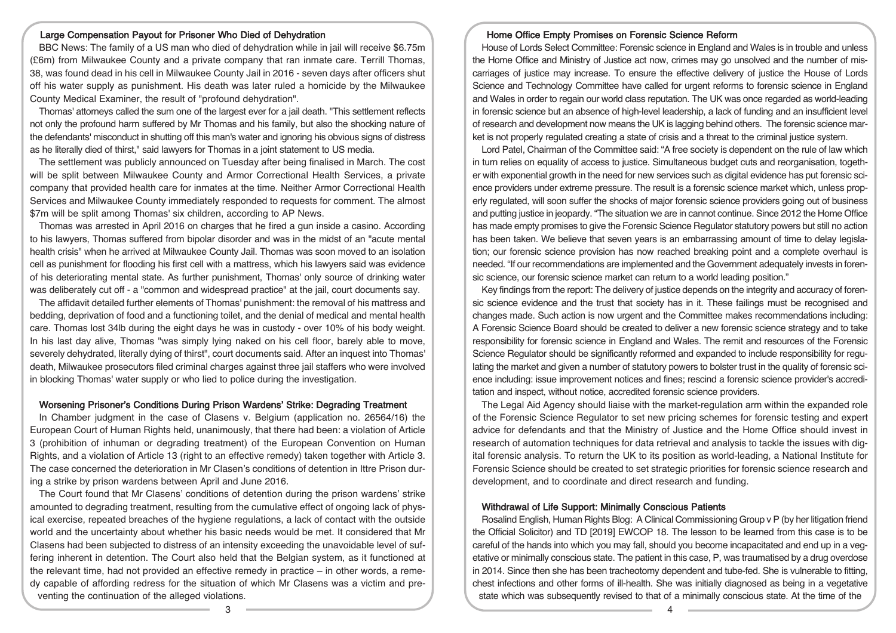# Large Compensation Payout for Prisoner Who Died of Dehydration

BBC News: The family of a US man who died of dehydration while in jail will receive \$6.75m (£6m) from Milwaukee County and a private company that ran inmate care. Terrill Thomas, 38, was found dead in his cell in Milwaukee County Jail in 2016 - seven days after officers shut off his water supply as punishment. His death was later ruled a homicide by the Milwaukee County Medical Examiner, the result of "profound dehydration".

Thomas' attorneys called the sum one of the largest ever for a jail death. "This settlement reflects not only the profound harm suffered by Mr Thomas and his family, but also the shocking nature of the defendants' misconduct in shutting off this man's water and ignoring his obvious signs of distress as he literally died of thirst," said lawyers for Thomas in a joint statement to US media.

The settlement was publicly announced on Tuesday after being finalised in March. The cost will be split between Milwaukee County and Armor Correctional Health Services, a private company that provided health care for inmates at the time. Neither Armor Correctional Health Services and Milwaukee County immediately responded to requests for comment. The almost \$7m will be split among Thomas' six children, according to AP News.

Thomas was arrested in April 2016 on charges that he fired a gun inside a casino. According to his lawyers, Thomas suffered from bipolar disorder and was in the midst of an "acute mental health crisis" when he arrived at Milwaukee County Jail. Thomas was soon moved to an isolation cell as punishment for flooding his first cell with a mattress, which his lawyers said was evidence of his deteriorating mental state. As further punishment, Thomas' only source of drinking water was deliberately cut off - a "common and widespread practice" at the jail, court documents say.

The affidavit detailed further elements of Thomas' punishment: the removal of his mattress and bedding, deprivation of food and a functioning toilet, and the denial of medical and mental health care. Thomas lost 34lb during the eight days he was in custody - over 10% of his body weight. In his last day alive, Thomas "was simply lying naked on his cell floor, barely able to move, severely dehydrated, literally dying of thirst", court documents said. After an inquest into Thomas' death, Milwaukee prosecutors filed criminal charges against three jail staffers who were involved in blocking Thomas' water supply or who lied to police during the investigation.

# Worsening Prisoner's Conditions During Prison Wardens' Strike: Degrading Treatment

In Chamber judgment in the case of Clasens v. Belgium (application no. 26564/16) the European Court of Human Rights held, unanimously, that there had been: a violation of Article 3 (prohibition of inhuman or degrading treatment) of the European Convention on Human Rights, and a violation of Article 13 (right to an effective remedy) taken together with Article 3. The case concerned the deterioration in Mr Clasen's conditions of detention in Ittre Prison during a strike by prison wardens between April and June 2016.

The Court found that Mr Clasens' conditions of detention during the prison wardens' strike amounted to degrading treatment, resulting from the cumulative effect of ongoing lack of physical exercise, repeated breaches of the hygiene regulations, a lack of contact with the outside world and the uncertainty about whether his basic needs would be met. It considered that Mr Clasens had been subjected to distress of an intensity exceeding the unavoidable level of suffering inherent in detention. The Court also held that the Belgian system, as it functioned at the relevant time, had not provided an effective remedy in practice – in other words, a remedy capable of affording redress for the situation of which Mr Clasens was a victim and preventing the continuation of the alleged violations.

### Home Office Empty Promises on Forensic Science Reform

House of Lords Select Committee: Forensic science in England and Wales is in trouble and unless the Home Office and Ministry of Justice act now, crimes may go unsolved and the number of miscarriages of justice may increase. To ensure the effective delivery of justice the House of Lords Science and Technology Committee have called for urgent reforms to forensic science in England and Wales in order to regain our world class reputation. The UK was once regarded as world-leading in forensic science but an absence of high-level leadership, a lack of funding and an insufficient level of research and development now means the UK is lagging behind others. The forensic science market is not properly regulated creating a state of crisis and a threat to the criminal justice system.

Lord Patel, Chairman of the Committee said: "A free society is dependent on the rule of law which in turn relies on equality of access to justice. Simultaneous budget cuts and reorganisation, together with exponential growth in the need for new services such as digital evidence has put forensic science providers under extreme pressure. The result is a forensic science market which, unless properly regulated, will soon suffer the shocks of major forensic science providers going out of business and putting justice in jeopardy. "The situation we are in cannot continue. Since 2012 the Home Office has made empty promises to give the Forensic Science Regulator statutory powers but still no action has been taken. We believe that seven years is an embarrassing amount of time to delay legislation; our forensic science provision has now reached breaking point and a complete overhaul is needed. "If our recommendations are implemented and the Government adequately invests in forensic science, our forensic science market can return to a world leading position."

Key findings from the report: The delivery of justice depends on the integrity and accuracy of forensic science evidence and the trust that society has in it. These failings must be recognised and changes made. Such action is now urgent and the Committee makes recommendations including: A Forensic Science Board should be created to deliver a new forensic science strategy and to take responsibility for forensic science in England and Wales. The remit and resources of the Forensic Science Regulator should be significantly reformed and expanded to include responsibility for regulating the market and given a number of statutory powers to bolster trust in the quality of forensic science including: issue improvement notices and fines; rescind a forensic science provider's accreditation and inspect, without notice, accredited forensic science providers.

The Legal Aid Agency should liaise with the market-regulation arm within the expanded role of the Forensic Science Regulator to set new pricing schemes for forensic testing and expert advice for defendants and that the Ministry of Justice and the Home Office should invest in research of automation techniques for data retrieval and analysis to tackle the issues with digital forensic analysis. To return the UK to its position as world-leading, a National Institute for Forensic Science should be created to set strategic priorities for forensic science research and development, and to coordinate and direct research and funding.

#### Withdrawal of Life Support: Minimally Conscious Patients

Rosalind English, Human Rights Blog: A Clinical Commissioning Group v P (by her litigation friend the Official Solicitor) and TD [2019] EWCOP 18. The lesson to be learned from this case is to be careful of the hands into which you may fall, should you become incapacitated and end up in a vegetative or minimally conscious state. The patient in this case, P, was traumatised by a drug overdose in 2014. Since then she has been tracheotomy dependent and tube-fed. She is vulnerable to fitting, chest infections and other forms of ill-health. She was initially diagnosed as being in a vegetative state which was subsequently revised to that of a minimally conscious state. At the time of the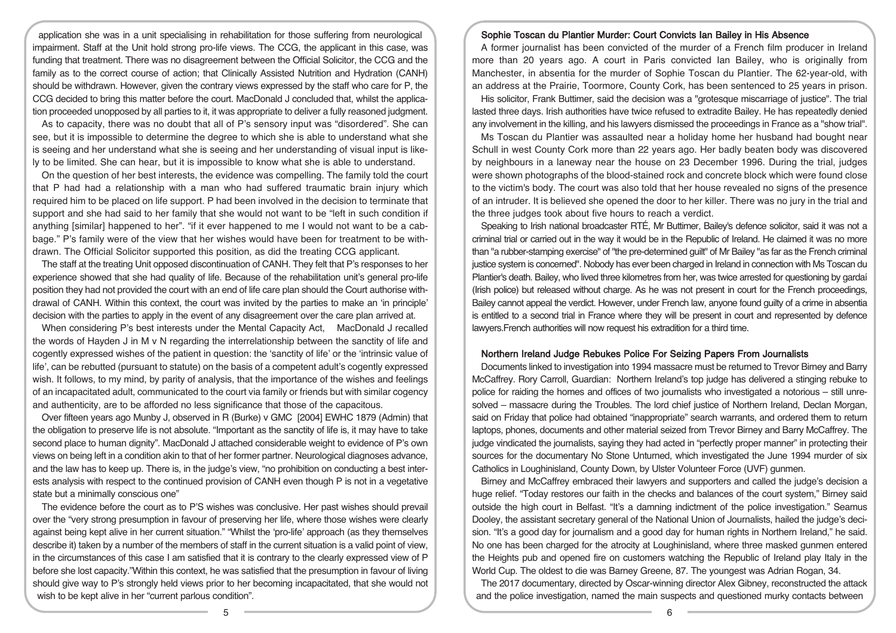application she was in a unit specialising in rehabilitation for those suffering from neurological impairment. Staff at the Unit hold strong pro-life views. The CCG, the applicant in this case, was funding that treatment. There was no disagreement between the Official Solicitor, the CCG and the family as to the correct course of action; that Clinically Assisted Nutrition and Hydration (CANH) should be withdrawn. However, given the contrary views expressed by the staff who care for P, the CCG decided to bring this matter before the court. MacDonald J concluded that, whilst the application proceeded unopposed by all parties to it, it was appropriate to deliver a fully reasoned judgment.

As to capacity, there was no doubt that all of P's sensory input was "disordered". She can see, but it is impossible to determine the degree to which she is able to understand what she is seeing and her understand what she is seeing and her understanding of visual input is likely to be limited. She can hear, but it is impossible to know what she is able to understand.

On the question of her best interests, the evidence was compelling. The family told the court that P had had a relationship with a man who had suffered traumatic brain injury which required him to be placed on life support. P had been involved in the decision to terminate that support and she had said to her family that she would not want to be "left in such condition if anything [similar] happened to her". "if it ever happened to me I would not want to be a cabbage." P's family were of the view that her wishes would have been for treatment to be withdrawn. The Official Solicitor supported this position, as did the treating CCG applicant.

The staff at the treating Unit opposed discontinuation of CANH. They felt that P's responses to her experience showed that she had quality of life. Because of the rehabilitation unit's general pro-life position they had not provided the court with an end of life care plan should the Court authorise withdrawal of CANH. Within this context, the court was invited by the parties to make an 'in principle' decision with the parties to apply in the event of any disagreement over the care plan arrived at.

When considering P's best interests under the Mental Capacity Act, MacDonald J recalled the words of Hayden J in M v N regarding the interrelationship between the sanctity of life and cogently expressed wishes of the patient in question: the 'sanctity of life' or the 'intrinsic value of life', can be rebutted (pursuant to statute) on the basis of a competent adult's cogently expressed wish. It follows, to my mind, by parity of analysis, that the importance of the wishes and feelings of an incapacitated adult, communicated to the court via family or friends but with similar cogency and authenticity, are to be afforded no less significance that those of the capacitous.

Over fifteen years ago Munby J, observed in R (Burke) v GMC [2004] EWHC 1879 (Admin) that the obligation to preserve life is not absolute. "Important as the sanctity of life is, it may have to take second place to human dignity". MacDonald J attached considerable weight to evidence of P's own views on being left in a condition akin to that of her former partner. Neurological diagnoses advance, and the law has to keep up. There is, in the judge's view, "no prohibition on conducting a best interests analysis with respect to the continued provision of CANH even though P is not in a vegetative state but a minimally conscious one"

The evidence before the court as to P'S wishes was conclusive. Her past wishes should prevail over the "very strong presumption in favour of preserving her life, where those wishes were clearly against being kept alive in her current situation." "Whilst the 'pro-life' approach (as they themselves describe it) taken by a number of the members of staff in the current situation is a valid point of view, in the circumstances of this case I am satisfied that it is contrary to the clearly expressed view of P before she lost capacity."Within this context, he was satisfied that the presumption in favour of living should give way to P's strongly held views prior to her becoming incapacitated, that she would not wish to be kept alive in her "current parlous condition".

## Sophie Toscan du Plantier Murder: Court Convicts Ian Bailey in His Absence

A former journalist has been convicted of the murder of a French film producer in Ireland more than 20 years ago. A court in Paris convicted Ian Bailey, who is originally from Manchester, in absentia for the murder of Sophie Toscan du Plantier. The 62-year-old, with an address at the Prairie, Toormore, County Cork, has been sentenced to 25 years in prison.

His solicitor, Frank Buttimer, said the decision was a "grotesque miscarriage of justice". The trial lasted three days. Irish authorities have twice refused to extradite Bailey. He has repeatedly denied any involvement in the killing, and his lawyers dismissed the proceedings in France as a "show trial".

Ms Toscan du Plantier was assaulted near a holiday home her husband had bought near Schull in west County Cork more than 22 years ago. Her badly beaten body was discovered by neighbours in a laneway near the house on 23 December 1996. During the trial, judges were shown photographs of the blood-stained rock and concrete block which were found close to the victim's body. The court was also told that her house revealed no signs of the presence of an intruder. It is believed she opened the door to her killer. There was no jury in the trial and the three judges took about five hours to reach a verdict.

Speaking to Irish national broadcaster RTÉ, Mr Buttimer, Bailey's defence solicitor, said it was not a criminal trial or carried out in the way it would be in the Republic of Ireland. He claimed it was no more than "a rubber-stamping exercise" of "the pre-determined guilt" of Mr Bailey "as far as the French criminal justice system is concerned". Nobody has ever been charged in Ireland in connection with Ms Toscan du Plantier's death. Bailey, who lived three kilometres from her, was twice arrested for questioning by gardaí (Irish police) but released without charge. As he was not present in court for the French proceedings, Bailey cannot appeal the verdict. However, under French law, anyone found guilty of a crime in absentia is entitled to a second trial in France where they will be present in court and represented by defence lawyers.French authorities will now request his extradition for a third time.

#### Northern Ireland Judge Rebukes Police For Seizing Papers From Journalists

Documents linked to investigation into 1994 massacre must be returned to Trevor Birney and Barry McCaffrey. Rory Carroll, Guardian: Northern Ireland's top judge has delivered a stinging rebuke to police for raiding the homes and offices of two journalists who investigated a notorious – still unresolved – massacre during the Troubles. The lord chief justice of Northern Ireland, Declan Morgan, said on Friday that police had obtained "inappropriate" search warrants, and ordered them to return laptops, phones, documents and other material seized from Trevor Birney and Barry McCaffrey. The judge vindicated the journalists, saying they had acted in "perfectly proper manner" in protecting their sources for the documentary No Stone Unturned, which investigated the June 1994 murder of six Catholics in Loughinisland, County Down, by Ulster Volunteer Force (UVF) gunmen.

Birney and McCaffrey embraced their lawyers and supporters and called the judge's decision a huge relief. "Today restores our faith in the checks and balances of the court system," Birney said outside the high court in Belfast. "It's a damning indictment of the police investigation." Seamus Dooley, the assistant secretary general of the National Union of Journalists, hailed the judge's decision. "It's a good day for journalism and a good day for human rights in Northern Ireland." he said. No one has been charged for the atrocity at Loughinisland, where three masked gunmen entered the Heights pub and opened fire on customers watching the Republic of Ireland play Italy in the World Cup. The oldest to die was Barney Greene, 87. The youngest was Adrian Rogan, 34.

The 2017 documentary, directed by Oscar-winning director Alex Gibney, reconstructed the attack and the police investigation, named the main suspects and questioned murky contacts between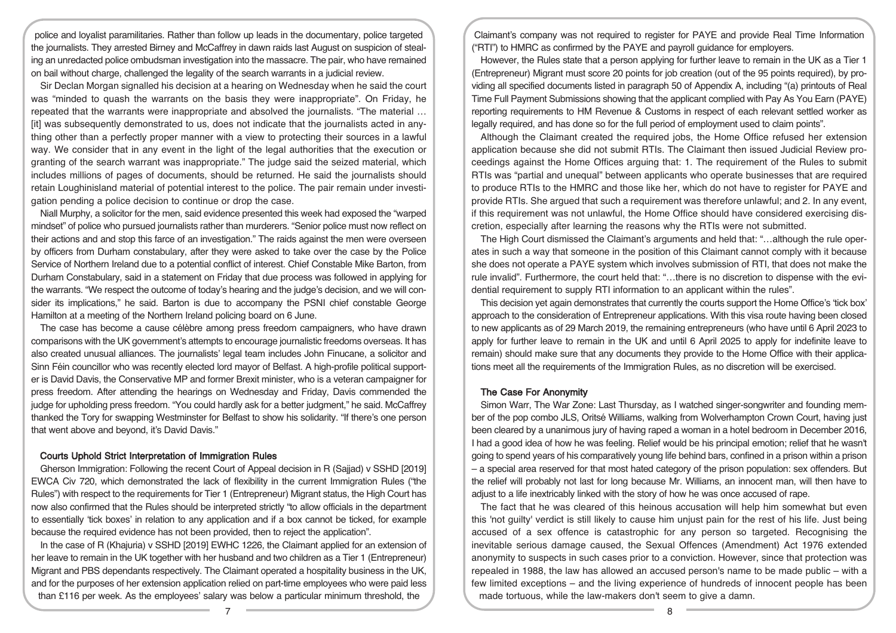police and loyalist paramilitaries. Rather than follow up leads in the documentary, police targeted the journalists. They arrested Birney and McCaffrey in dawn raids last August on suspicion of stealing an unredacted police ombudsman investigation into the massacre. The pair, who have remained on bail without charge, challenged the legality of the search warrants in a judicial review.

Sir Declan Morgan signalled his decision at a hearing on Wednesday when he said the court was "minded to quash the warrants on the basis they were inappropriate". On Friday, he repeated that the warrants were inappropriate and absolved the journalists. "The material … [it] was subsequently demonstrated to us, does not indicate that the journalists acted in anything other than a perfectly proper manner with a view to protecting their sources in a lawful way. We consider that in any event in the light of the legal authorities that the execution or granting of the search warrant was inappropriate." The judge said the seized material, which includes millions of pages of documents, should be returned. He said the journalists should retain Loughinisland material of potential interest to the police. The pair remain under investigation pending a police decision to continue or drop the case.

Niall Murphy, a solicitor for the men, said evidence presented this week had exposed the "warped mindset" of police who pursued journalists rather than murderers. "Senior police must now reflect on their actions and and stop this farce of an investigation." The raids against the men were overseen by officers from Durham constabulary, after they were asked to take over the case by the Police Service of Northern Ireland due to a potential conflict of interest. Chief Constable Mike Barton, from Durham Constabulary, said in a statement on Friday that due process was followed in applying for the warrants. "We respect the outcome of today's hearing and the judge's decision, and we will consider its implications," he said. Barton is due to accompany the PSNI chief constable George Hamilton at a meeting of the Northern Ireland policing board on 6 June.

The case has become a cause célèbre among press freedom campaigners, who have drawn comparisons with the UK government's attempts to encourage journalistic freedoms overseas. It has also created unusual alliances. The journalists' legal team includes John Finucane, a solicitor and Sinn Féin councillor who was recently elected lord mayor of Belfast. A high-profile political supporter is David Davis, the Conservative MP and former Brexit minister, who is a veteran campaigner for press freedom. After attending the hearings on Wednesday and Friday, Davis commended the judge for upholding press freedom. "You could hardly ask for a better judgment," he said. McCaffrey thanked the Tory for swapping Westminster for Belfast to show his solidarity. "If there's one person that went above and beyond, it's David Davis."

### Courts Uphold Strict Interpretation of Immigration Rules

Gherson Immigration: Following the recent Court of Appeal decision in R (Sajjad) v SSHD [2019] EWCA Civ 720, which demonstrated the lack of flexibility in the current Immigration Rules ("the Rules") with respect to the requirements for Tier 1 (Entrepreneur) Migrant status, the High Court has now also confirmed that the Rules should be interpreted strictly "to allow officials in the department to essentially 'tick boxes' in relation to any application and if a box cannot be ticked, for example because the required evidence has not been provided, then to reject the application".

In the case of R (Khajuria) v SSHD [2019] EWHC 1226, the Claimant applied for an extension of her leave to remain in the UK together with her husband and two children as a Tier 1 (Entrepreneur) Migrant and PBS dependants respectively. The Claimant operated a hospitality business in the UK, and for the purposes of her extension application relied on part-time employees who were paid less than £116 per week. As the employees' salary was below a particular minimum threshold, the

Claimant's company was not required to register for PAYE and provide Real Time Information ("RTI") to HMRC as confirmed by the PAYE and payroll guidance for employers.

However, the Rules state that a person applying for further leave to remain in the UK as a Tier 1 (Entrepreneur) Migrant must score 20 points for job creation (out of the 95 points required), by providing all specified documents listed in paragraph 50 of Appendix A, including "(a) printouts of Real Time Full Payment Submissions showing that the applicant complied with Pay As You Earn (PAYE) reporting requirements to HM Revenue & Customs in respect of each relevant settled worker as legally required, and has done so for the full period of employment used to claim points".

Although the Claimant created the required jobs, the Home Office refused her extension application because she did not submit RTIs. The Claimant then issued Judicial Review proceedings against the Home Offices arguing that: 1. The requirement of the Rules to submit RTIs was "partial and unequal" between applicants who operate businesses that are required to produce RTIs to the HMRC and those like her, which do not have to register for PAYE and provide RTIs. She argued that such a requirement was therefore unlawful; and 2. In any event, if this requirement was not unlawful, the Home Office should have considered exercising discretion, especially after learning the reasons why the RTIs were not submitted.

The High Court dismissed the Claimant's arguments and held that: "…although the rule operates in such a way that someone in the position of this Claimant cannot comply with it because she does not operate a PAYE system which involves submission of RTI, that does not make the rule invalid". Furthermore, the court held that: "…there is no discretion to dispense with the evidential requirement to supply RTI information to an applicant within the rules".

This decision yet again demonstrates that currently the courts support the Home Office's 'tick box' approach to the consideration of Entrepreneur applications. With this visa route having been closed to new applicants as of 29 March 2019, the remaining entrepreneurs (who have until 6 April 2023 to apply for further leave to remain in the UK and until 6 April 2025 to apply for indefinite leave to remain) should make sure that any documents they provide to the Home Office with their applications meet all the requirements of the Immigration Rules, as no discretion will be exercised.

## The Case For Anonymity

Simon Warr, The War Zone: Last Thursday, as I watched singer-songwriter and founding member of the pop combo JLS, Oritsé Williams, walking from Wolverhampton Crown Court, having just been cleared by a unanimous jury of having raped a woman in a hotel bedroom in December 2016, I had a good idea of how he was feeling. Relief would be his principal emotion; relief that he wasn't going to spend years of his comparatively young life behind bars, confined in a prison within a prison – a special area reserved for that most hated category of the prison population: sex offenders. But the relief will probably not last for long because Mr. Williams, an innocent man, will then have to adjust to a life inextricably linked with the story of how he was once accused of rape.

The fact that he was cleared of this heinous accusation will help him somewhat but even this 'not guilty' verdict is still likely to cause him unjust pain for the rest of his life. Just being accused of a sex offence is catastrophic for any person so targeted. Recognising the inevitable serious damage caused, the Sexual Offences (Amendment) Act 1976 extended anonymity to suspects in such cases prior to a conviction. However, since that protection was repealed in 1988, the law has allowed an accused person's name to be made public – with a few limited exceptions – and the living experience of hundreds of innocent people has been made tortuous, while the law-makers don't seem to give a damn.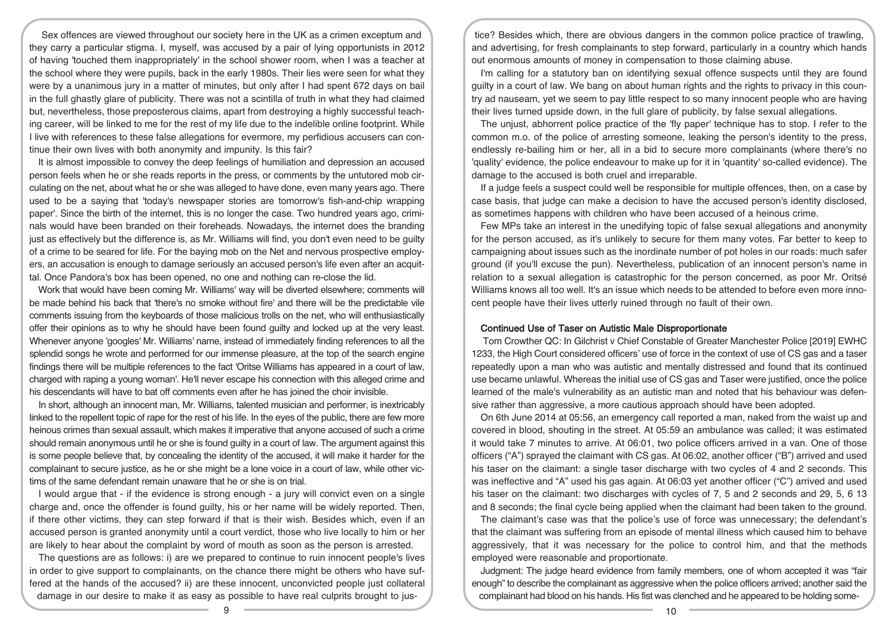Sex offences are viewed throughout our society here in the UK as a crimen exceptum and they carry a particular stigma. I, myself, was accused by a pair of lying opportunists in 2012 of having 'touched them inappropriately' in the school shower room, when I was a teacher at the school where they were pupils, back in the early 1980s. Their lies were seen for what they were by a unanimous jury in a matter of minutes, but only after I had spent 672 days on bail in the full ghastly glare of publicity. There was not a scintilla of truth in what they had claimed but, nevertheless, those preposterous claims, apart from destroying a highly successful teaching career, will be linked to me for the rest of my life due to the indelible online footprint. While I live with references to these false allegations for evermore, my perfidious accusers can continue their own lives with both anonymity and impunity. Is this fair?

It is almost impossible to convey the deep feelings of humiliation and depression an accused person feels when he or she reads reports in the press, or comments by the untutored mob circulating on the net, about what he or she was alleged to have done, even many years ago. There used to be a saying that 'today's newspaper stories are tomorrow's fish-and-chip wrapping paper'. Since the birth of the internet, this is no longer the case. Two hundred years ago, criminals would have been branded on their foreheads. Nowadays, the internet does the branding just as effectively but the difference is, as Mr. Williams will find, you don't even need to be guilty of a crime to be seared for life. For the baying mob on the Net and nervous prospective employers, an accusation is enough to damage seriously an accused person's life even after an acquittal. Once Pandora's box has been opened, no one and nothing can re-close the lid.

Work that would have been coming Mr. Williams' way will be diverted elsewhere; comments will be made behind his back that 'there's no smoke without fire' and there will be the predictable vile comments issuing from the keyboards of those malicious trolls on the net, who will enthusiastically offer their opinions as to why he should have been found guilty and locked up at the very least. Whenever anyone 'googles' Mr. Williams' name, instead of immediately finding references to all the splendid songs he wrote and performed for our immense pleasure, at the top of the search engine findings there will be multiple references to the fact 'Oritse Williams has appeared in a court of law, charged with raping a young woman'. He'll never escape his connection with this alleged crime and his descendants will have to bat off comments even after he has joined the choir invisible.

In short, although an innocent man, Mr. Williams, talented musician and performer, is inextricably linked to the repellent topic of rape for the rest of his life. In the eyes of the public, there are few more heinous crimes than sexual assault, which makes it imperative that anyone accused of such a crime should remain anonymous until he or she is found guilty in a court of law. The argument against this is some people believe that, by concealing the identity of the accused, it will make it harder for the complainant to secure justice, as he or she might be a lone voice in a court of law, while other victims of the same defendant remain unaware that he or she is on trial.

I would argue that - if the evidence is strong enough - a jury will convict even on a single charge and, once the offender is found guilty, his or her name will be widely reported. Then, if there other victims, they can step forward if that is their wish. Besides which, even if an accused person is granted anonymity until a court verdict, those who live locally to him or her are likely to hear about the complaint by word of mouth as soon as the person is arrested.

The questions are as follows: i) are we prepared to continue to ruin innocent people's lives in order to give support to complainants, on the chance there might be others who have suffered at the hands of the accused? ii) are these innocent, unconvicted people just collateral damage in our desire to make it as easy as possible to have real culprits brought to jus-

tice? Besides which, there are obvious dangers in the common police practice of trawling, and advertising, for fresh complainants to step forward, particularly in a country which hands out enormous amounts of money in compensation to those claiming abuse.

I'm calling for a statutory ban on identifying sexual offence suspects until they are found guilty in a court of law. We bang on about human rights and the rights to privacy in this country ad nauseam, yet we seem to pay little respect to so many innocent people who are having their lives turned upside down, in the full glare of publicity, by false sexual allegations.

The unjust, abhorrent police practice of the 'fly paper' technique has to stop. I refer to the common m.o. of the police of arresting someone, leaking the person's identity to the press, endlessly re-bailing him or her, all in a bid to secure more complainants (where there's no 'quality' evidence, the police endeavour to make up for it in 'quantity' so-called evidence). The damage to the accused is both cruel and irreparable.

If a judge feels a suspect could well be responsible for multiple offences, then, on a case by case basis, that judge can make a decision to have the accused person's identity disclosed, as sometimes happens with children who have been accused of a heinous crime.

Few MPs take an interest in the unedifying topic of false sexual allegations and anonymity for the person accused, as it's unlikely to secure for them many votes. Far better to keep to campaigning about issues such as the inordinate number of pot holes in our roads: much safer ground (if you'll excuse the pun). Nevertheless, publication of an innocent person's name in relation to a sexual allegation is catastrophic for the person concerned, as poor Mr. Oritsé Williams knows all too well. It's an issue which needs to be attended to before even more innocent people have their lives utterly ruined through no fault of their own.

# Continued Use of Taser on Autistic Male Disproportionate

Tom Crowther QC: In Gilchrist v Chief Constable of Greater Manchester Police [2019] EWHC 1233, the High Court considered officers' use of force in the context of use of CS gas and a taser repeatedly upon a man who was autistic and mentally distressed and found that its continued use became unlawful. Whereas the initial use of CS gas and Taser were justified, once the police learned of the male's vulnerability as an autistic man and noted that his behaviour was defensive rather than aggressive, a more cautious approach should have been adopted.

On 6th June 2014 at 05:56, an emergency call reported a man, naked from the waist up and covered in blood, shouting in the street. At 05:59 an ambulance was called; it was estimated it would take 7 minutes to arrive. At 06:01, two police officers arrived in a van. One of those officers ("A") sprayed the claimant with CS gas. At 06:02, another officer ("B") arrived and used his taser on the claimant: a single taser discharge with two cycles of 4 and 2 seconds. This was ineffective and "A" used his gas again. At 06:03 yet another officer ("C") arrived and used his taser on the claimant: two discharges with cycles of 7, 5 and 2 seconds and 29, 5, 6 13 and 8 seconds; the final cycle being applied when the claimant had been taken to the ground.

The claimant's case was that the police's use of force was unnecessary; the defendant's that the claimant was suffering from an episode of mental illness which caused him to behave aggressively, that it was necessary for the police to control him, and that the methods employed were reasonable and proportionate.

Judgment: The judge heard evidence from family members, one of whom accepted it was "fair enough" to describe the complainant as aggressive when the police officers arrived; another said the complainant had blood on his hands. His fist was clenched and he appeared to be holding some-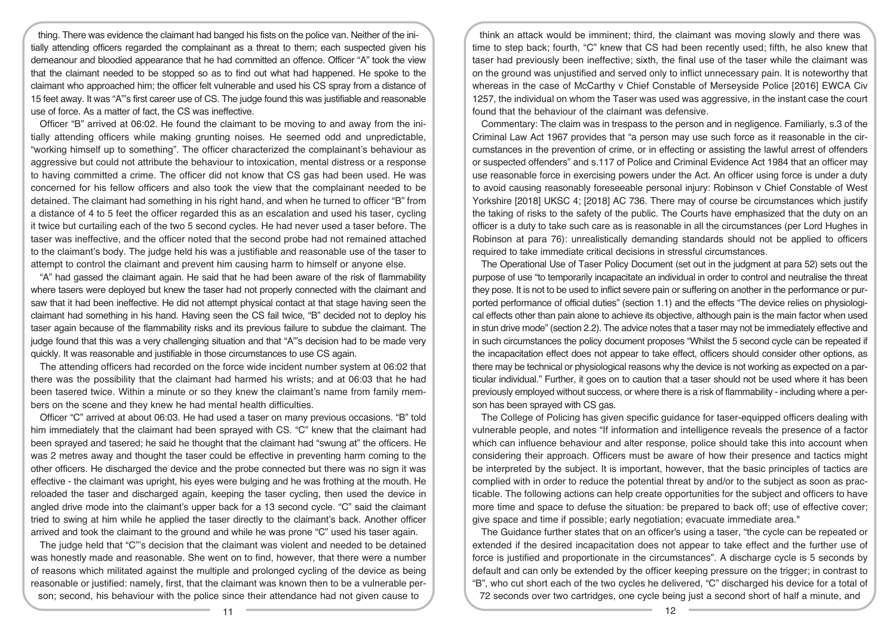thing. There was evidence the claimant had banged his fists on the police van. Neither of the initially attending officers regarded the complainant as a threat to them; each suspected given his demeanour and bloodied appearance that he had committed an offence. Officer "A" took the view that the claimant needed to be stopped so as to find out what had happened. He spoke to the claimant who approached him; the officer felt vulnerable and used his CS spray from a distance of 15 feet away. It was "A"'s first career use of CS. The judge found this was justifiable and reasonable use of force. As a matter of fact, the CS was ineffective.

Officer "B" arrived at 06:02. He found the claimant to be moving to and away from the initially attending officers while making grunting noises. He seemed odd and unpredictable, "working himself up to something". The officer characterized the complainant's behaviour as aggressive but could not attribute the behaviour to intoxication, mental distress or a response to having committed a crime. The officer did not know that CS gas had been used. He was concerned for his fellow officers and also took the view that the complainant needed to be detained. The claimant had something in his right hand, and when he turned to officer "B" from a distance of 4 to 5 feet the officer regarded this as an escalation and used his taser, cycling it twice but curtailing each of the two 5 second cycles. He had never used a taser before. The taser was ineffective, and the officer noted that the second probe had not remained attached to the claimant's body. The judge held his was a justifiable and reasonable use of the taser to attempt to control the claimant and prevent him causing harm to himself or anyone else.

"A" had gassed the claimant again. He said that he had been aware of the risk of flammability where tasers were deployed but knew the taser had not properly connected with the claimant and saw that it had been ineffective. He did not attempt physical contact at that stage having seen the claimant had something in his hand. Having seen the CS fail twice, "B" decided not to deploy his taser again because of the flammability risks and its previous failure to subdue the claimant. The judge found that this was a very challenging situation and that "A"'s decision had to be made very quickly. It was reasonable and justifiable in those circumstances to use CS again.

The attending officers had recorded on the force wide incident number system at 06:02 that there was the possibility that the claimant had harmed his wrists; and at 06:03 that he had been tasered twice. Within a minute or so they knew the claimant's name from family members on the scene and they knew he had mental health difficulties.

Officer "C" arrived at about 06:03. He had used a taser on many previous occasions. "B" told him immediately that the claimant had been sprayed with CS. "C" knew that the claimant had been sprayed and tasered; he said he thought that the claimant had "swung at" the officers. He was 2 metres away and thought the taser could be effective in preventing harm coming to the other officers. He discharged the device and the probe connected but there was no sign it was effective - the claimant was upright, his eyes were bulging and he was frothing at the mouth. He reloaded the taser and discharged again, keeping the taser cycling, then used the device in angled drive mode into the claimant's upper back for a 13 second cycle. "C" said the claimant tried to swing at him while he applied the taser directly to the claimant's back. Another officer arrived and took the claimant to the ground and while he was prone "C" used his taser again.

The judge held that "C"'s decision that the claimant was violent and needed to be detained was honestly made and reasonable. She went on to find, however, that there were a number of reasons which militated against the multiple and prolonged cycling of the device as being reasonable or justified: namely, first, that the claimant was known then to be a vulnerable person; second, his behaviour with the police since their attendance had not given cause to

think an attack would be imminent; third, the claimant was moving slowly and there was time to step back; fourth, "C" knew that CS had been recently used; fifth, he also knew that taser had previously been ineffective; sixth, the final use of the taser while the claimant was on the ground was unjustified and served only to inflict unnecessary pain. It is noteworthy that whereas in the case of McCarthy v Chief Constable of Merseyside Police [2016] EWCA Civ 1257, the individual on whom the Taser was used was aggressive, in the instant case the court found that the behaviour of the claimant was defensive.

Commentary: The claim was in trespass to the person and in negligence. Familiarly, s.3 of the Criminal Law Act 1967 provides that "a person may use such force as it reasonable in the circumstances in the prevention of crime, or in effecting or assisting the lawful arrest of offenders or suspected offenders" and s.117 of Police and Criminal Evidence Act 1984 that an officer may use reasonable force in exercising powers under the Act. An officer using force is under a duty to avoid causing reasonably foreseeable personal injury: Robinson v Chief Constable of West Yorkshire [2018] UKSC 4; [2018] AC 736. There may of course be circumstances which justify the taking of risks to the safety of the public. The Courts have emphasized that the duty on an officer is a duty to take such care as is reasonable in all the circumstances (per Lord Hughes in Robinson at para 76): unrealistically demanding standards should not be applied to officers required to take immediate critical decisions in stressful circumstances.

The Operational Use of Taser Policy Document (set out in the judgment at para 52) sets out the purpose of use "to temporarily incapacitate an individual in order to control and neutralise the threat they pose. It is not to be used to inflict severe pain or suffering on another in the performance or purported performance of official duties" (section 1.1) and the effects "The device relies on physiological effects other than pain alone to achieve its objective, although pain is the main factor when used in stun drive mode" (section 2.2). The advice notes that a taser may not be immediately effective and in such circumstances the policy document proposes "Whilst the 5 second cycle can be repeated if the incapacitation effect does not appear to take effect, officers should consider other options, as there may be technical or physiological reasons why the device is not working as expected on a particular individual." Further, it goes on to caution that a taser should not be used where it has been previously employed without success, or where there is a risk of flammability - including where a person has been sprayed with CS gas.

The College of Policing has given specific guidance for taser-equipped officers dealing with vulnerable people, and notes "If information and intelligence reveals the presence of a factor which can influence behaviour and alter response, police should take this into account when considering their approach. Officers must be aware of how their presence and tactics might be interpreted by the subject. It is important, however, that the basic principles of tactics are complied with in order to reduce the potential threat by and/or to the subject as soon as practicable. The following actions can help create opportunities for the subject and officers to have more time and space to defuse the situation: be prepared to back off; use of effective cover; give space and time if possible; early negotiation; evacuate immediate area."

The Guidance further states that on an officer's using a taser, "the cycle can be repeated or extended if the desired incapacitation does not appear to take effect and the further use of force is justified and proportionate in the circumstances". A discharge cycle is 5 seconds by default and can only be extended by the officer keeping pressure on the trigger; in contrast to "B", who cut short each of the two cycles he delivered, "C" discharged his device for a total of 72 seconds over two cartridges, one cycle being just a second short of half a minute, and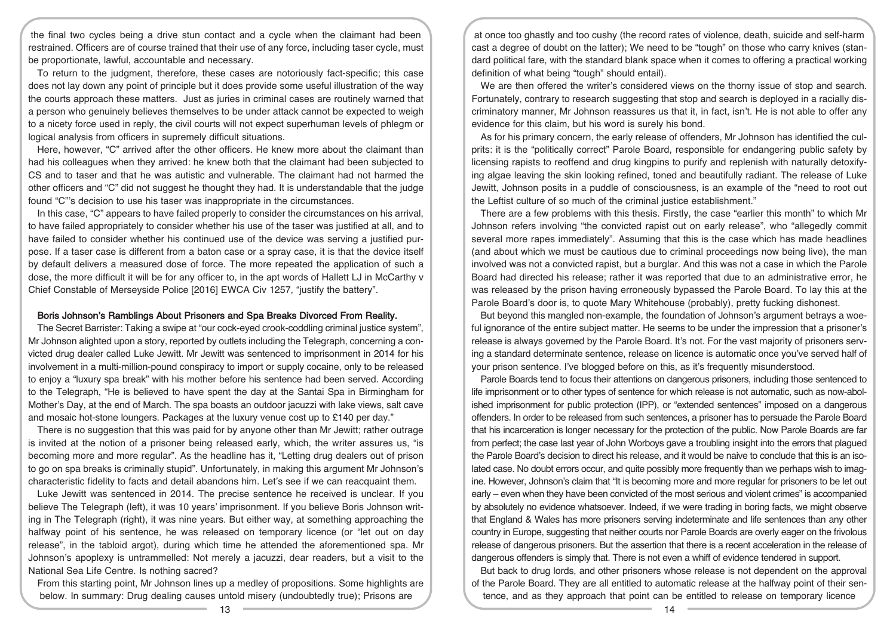the final two cycles being a drive stun contact and a cycle when the claimant had been restrained. Officers are of course trained that their use of any force, including taser cycle, must be proportionate, lawful, accountable and necessary.

To return to the judgment, therefore, these cases are notoriously fact-specific; this case does not lay down any point of principle but it does provide some useful illustration of the way the courts approach these matters. Just as juries in criminal cases are routinely warned that a person who genuinely believes themselves to be under attack cannot be expected to weigh to a nicety force used in reply, the civil courts will not expect superhuman levels of phlegm or logical analysis from officers in supremely difficult situations.

Here, however, "C" arrived after the other officers. He knew more about the claimant than had his colleagues when they arrived: he knew both that the claimant had been subjected to CS and to taser and that he was autistic and vulnerable. The claimant had not harmed the other officers and "C" did not suggest he thought they had. It is understandable that the judge found "C"'s decision to use his taser was inappropriate in the circumstances.

In this case, "C" appears to have failed properly to consider the circumstances on his arrival, to have failed appropriately to consider whether his use of the taser was justified at all, and to have failed to consider whether his continued use of the device was serving a justified purpose. If a taser case is different from a baton case or a spray case, it is that the device itself by default delivers a measured dose of force. The more repeated the application of such a dose, the more difficult it will be for any officer to, in the apt words of Hallett LJ in McCarthy v Chief Constable of Merseyside Police [2016] EWCA Civ 1257, "justify the battery".

#### Boris Johnson's Ramblings About Prisoners and Spa Breaks Divorced From Reality.

The Secret Barrister: Taking a swipe at "our cock-eyed crook-coddling criminal justice system", Mr Johnson alighted upon a story, reported by outlets including the Telegraph, concerning a convicted drug dealer called Luke Jewitt. Mr Jewitt was sentenced to imprisonment in 2014 for his involvement in a multi-million-pound conspiracy to import or supply cocaine, only to be released to enjoy a "luxury spa break" with his mother before his sentence had been served. According to the Telegraph, "He is believed to have spent the day at the Santai Spa in Birmingham for Mother's Day, at the end of March. The spa boasts an outdoor jacuzzi with lake views, salt cave and mosaic hot-stone loungers. Packages at the luxury venue cost up to £140 per day."

There is no suggestion that this was paid for by anyone other than Mr Jewitt; rather outrage is invited at the notion of a prisoner being released early, which, the writer assures us, "is becoming more and more regular". As the headline has it, "Letting drug dealers out of prison to go on spa breaks is criminally stupid". Unfortunately, in making this argument Mr Johnson's characteristic fidelity to facts and detail abandons him. Let's see if we can reacquaint them.

Luke Jewitt was sentenced in 2014. The precise sentence he received is unclear. If you believe The Telegraph (left), it was 10 years' imprisonment. If you believe Boris Johnson writing in The Telegraph (right), it was nine years. But either way, at something approaching the halfway point of his sentence, he was released on temporary licence (or "let out on day release", in the tabloid argot), during which time he attended the aforementioned spa. Mr Johnson's apoplexy is untrammelled: Not merely a jacuzzi, dear readers, but a visit to the National Sea Life Centre. Is nothing sacred?

From this starting point, Mr Johnson lines up a medley of propositions. Some highlights are below. In summary: Drug dealing causes untold misery (undoubtedly true); Prisons are

at once too ghastly and too cushy (the record rates of violence, death, suicide and self-harm cast a degree of doubt on the latter); We need to be "tough" on those who carry knives (standard political fare, with the standard blank space when it comes to offering a practical working definition of what being "tough" should entail).

We are then offered the writer's considered views on the thorny issue of stop and search. Fortunately, contrary to research suggesting that stop and search is deployed in a racially discriminatory manner, Mr Johnson reassures us that it, in fact, isn't. He is not able to offer any evidence for this claim, but his word is surely his bond.

As for his primary concern, the early release of offenders, Mr Johnson has identified the culprits: it is the "politically correct" Parole Board, responsible for endangering public safety by licensing rapists to reoffend and drug kingpins to purify and replenish with naturally detoxifying algae leaving the skin looking refined, toned and beautifully radiant. The release of Luke Jewitt, Johnson posits in a puddle of consciousness, is an example of the "need to root out the Leftist culture of so much of the criminal justice establishment."

There are a few problems with this thesis. Firstly, the case "earlier this month" to which Mr Johnson refers involving "the convicted rapist out on early release", who "allegedly commit several more rapes immediately". Assuming that this is the case which has made headlines (and about which we must be cautious due to criminal proceedings now being live), the man involved was not a convicted rapist, but a burglar. And this was not a case in which the Parole Board had directed his release; rather it was reported that due to an administrative error, he was released by the prison having erroneously bypassed the Parole Board. To lay this at the Parole Board's door is, to quote Mary Whitehouse (probably), pretty fucking dishonest.

But beyond this mangled non-example, the foundation of Johnson's argument betrays a woeful ignorance of the entire subject matter. He seems to be under the impression that a prisoner's release is always governed by the Parole Board. It's not. For the vast majority of prisoners serving a standard determinate sentence, release on licence is automatic once you've served half of your prison sentence. I've blogged before on this, as it's frequently misunderstood.

Parole Boards tend to focus their attentions on dangerous prisoners, including those sentenced to life imprisonment or to other types of sentence for which release is not automatic, such as now-abolished imprisonment for public protection (IPP), or "extended sentences" imposed on a dangerous offenders. In order to be released from such sentences, a prisoner has to persuade the Parole Board that his incarceration is longer necessary for the protection of the public. Now Parole Boards are far from perfect; the case last year of John Worboys gave a troubling insight into the errors that plagued the Parole Board's decision to direct his release, and it would be naive to conclude that this is an isolated case. No doubt errors occur, and quite possibly more frequently than we perhaps wish to imagine. However, Johnson's claim that "It is becoming more and more regular for prisoners to be let out early – even when they have been convicted of the most serious and violent crimes" is accompanied by absolutely no evidence whatsoever. Indeed, if we were trading in boring facts, we might observe that England & Wales has more prisoners serving indeterminate and life sentences than any other country in Europe, suggesting that neither courts nor Parole Boards are overly eager on the frivolous release of dangerous prisoners. But the assertion that there is a recent acceleration in the release of dangerous offenders is simply that. There is not even a whiff of evidence tendered in support.

But back to drug lords, and other prisoners whose release is not dependent on the approval of the Parole Board. They are all entitled to automatic release at the halfway point of their sentence, and as they approach that point can be entitled to release on temporary licence